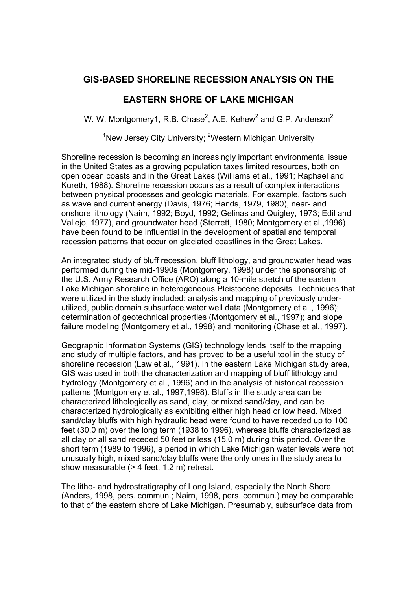## **GIS-BASED SHORELINE RECESSION ANALYSIS ON THE**

## **EASTERN SHORE OF LAKE MICHIGAN**

W. W. Montgomery1, R.B. Chase<sup>2</sup>, A.E. Kehew<sup>2</sup> and G.P. Anderson<sup>2</sup>

<sup>1</sup>New Jersey City University; <sup>2</sup>Western Michigan University

Shoreline recession is becoming an increasingly important environmental issue in the United States as a growing population taxes limited resources, both on open ocean coasts and in the Great Lakes (Williams et al., 1991; Raphael and Kureth, 1988). Shoreline recession occurs as a result of complex interactions between physical processes and geologic materials. For example, factors such as wave and current energy (Davis, 1976; Hands, 1979, 1980), near- and onshore lithology (Nairn, 1992; Boyd, 1992; Gelinas and Quigley, 1973; Edil and Vallejo, 1977), and groundwater head (Sterrett, 1980; Montgomery et al.,1996) have been found to be influential in the development of spatial and temporal recession patterns that occur on glaciated coastlines in the Great Lakes.

An integrated study of bluff recession, bluff lithology, and groundwater head was performed during the mid-1990s (Montgomery, 1998) under the sponsorship of the U.S. Army Research Office (ARO) along a 10-mile stretch of the eastern Lake Michigan shoreline in heterogeneous Pleistocene deposits. Techniques that were utilized in the study included: analysis and mapping of previously underutilized, public domain subsurface water well data (Montgomery et al., 1996); determination of geotechnical properties (Montgomery et al., 1997); and slope failure modeling (Montgomery et al., 1998) and monitoring (Chase et al., 1997).

Geographic Information Systems (GIS) technology lends itself to the mapping and study of multiple factors, and has proved to be a useful tool in the study of shoreline recession (Law et al., 1991). In the eastern Lake Michigan study area, GIS was used in both the characterization and mapping of bluff lithology and hydrology (Montgomery et al., 1996) and in the analysis of historical recession patterns (Montgomery et al., 1997,1998). Bluffs in the study area can be characterized lithologically as sand, clay, or mixed sand/clay, and can be characterized hydrologically as exhibiting either high head or low head. Mixed sand/clay bluffs with high hydraulic head were found to have receded up to 100 feet (30.0 m) over the long term (1938 to 1996), whereas bluffs characterized as all clay or all sand receded 50 feet or less (15.0 m) during this period. Over the short term (1989 to 1996), a period in which Lake Michigan water levels were not unusually high, mixed sand/clay bluffs were the only ones in the study area to show measurable (> 4 feet, 1.2 m) retreat.

The litho- and hydrostratigraphy of Long Island, especially the North Shore (Anders, 1998, pers. commun.; Nairn, 1998, pers. commun.) may be comparable to that of the eastern shore of Lake Michigan. Presumably, subsurface data from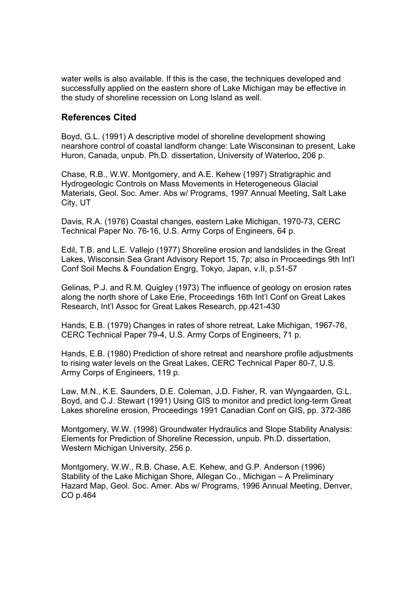water wells is also available. If this is the case, the techniques developed and successfully applied on the eastern shore of Lake Michigan may be effective in the study of shoreline recession on Long Island as well.

## **References Cited**

Boyd, G.L. (1991) A descriptive model of shoreline development showing nearshore control of coastal landform change: Late Wisconsinan to present, Lake Huron, Canada, unpub. Ph.D. dissertation, University of Waterloo, 206 p.

Chase, R.B., W.W. Montgomery, and A.E. Kehew (1997) Stratigraphic and Hydrogeologic Controls on Mass Movements in Heterogeneous Glacial Materials, Geol. Soc. Amer. Abs w/ Programs, 1997 Annual Meeting, Salt Lake City, UT

Davis, R.A. (1976) Coastal changes, eastern Lake Michigan, 1970-73, CERC Technical Paper No. 76-16, U.S. Army Corps of Engineers, 64 p.

Edil, T.B. and L.E. Vallejo (1977) Shoreline erosion and landslides in the Great Lakes, Wisconsin Sea Grant Advisory Report 15, 7p; also in Proceedings 9th Int'l Conf Soil Mechs & Foundation Engrg, Tokyo, Japan, v.II, p.51-57

Gelinas, P.J. and R.M. Quigley (1973) The influence of geology on erosion rates along the north shore of Lake Erie, Proceedings 16th Int'l Conf on Great Lakes Research, Int'l Assoc for Great Lakes Research, pp.421-430

Hands, E.B. (1979) Changes in rates of shore retreat, Lake Michigan, 1967-76, CERC Technical Paper 79-4, U.S. Army Corps of Engineers, 71 p.

Hands, E.B. (1980) Prediction of shore retreat and nearshore profile adjustments to rising water levels on the Great Lakes, CERC Technical Paper 80-7, U.S. Army Corps of Engineers, 119 p.

Law, M.N., K.E. Saunders, D.E. Coleman, J.D. Fisher, R. van Wyngaarden, G.L. Boyd, and C.J. Stewart (1991) Using GIS to monitor and predict long-term Great Lakes shoreline erosion, Proceedings 1991 Canadian Conf on GIS, pp. 372-386

Montgomery, W.W. (1998) Groundwater Hydraulics and Slope Stability Analysis: Elements for Prediction of Shoreline Recession, unpub. Ph.D. dissertation, Western Michigan University, 256 p.

Montgomery, W.W., R.B. Chase, A.E. Kehew, and G.P. Anderson (1996) Stability of the Lake Michigan Shore, Allegan Co., Michigan – A Preliminary Hazard Map, Geol. Soc. Amer. Abs w/ Programs, 1996 Annual Meeting, Denver, CO p.464